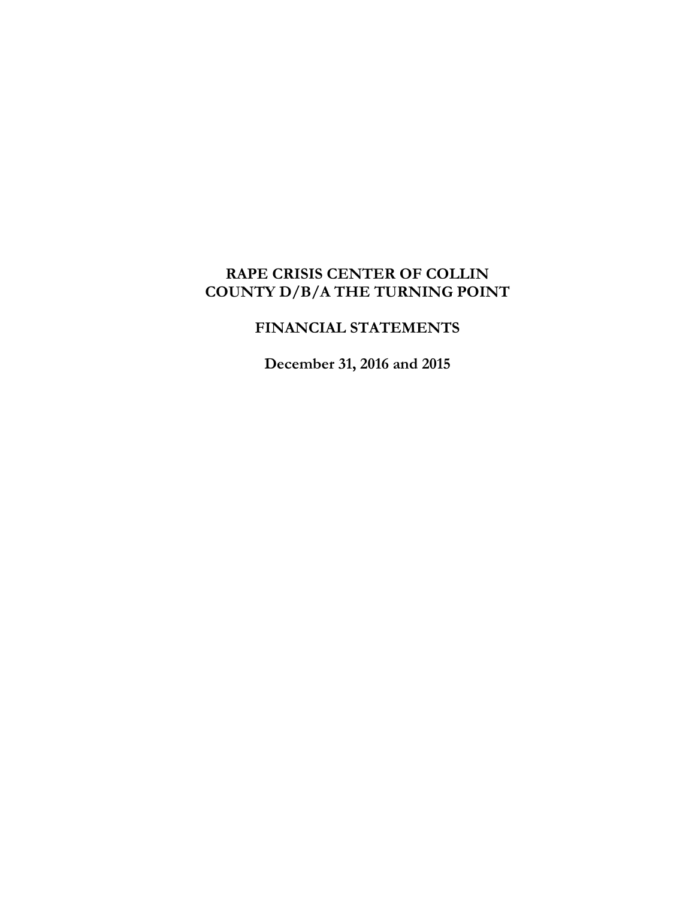# **RAPE CRISIS CENTER OF COLLIN COUNTY D/B/A THE TURNING POINT**

# **FINANCIAL STATEMENTS**

**December 31, 2016 and 2015**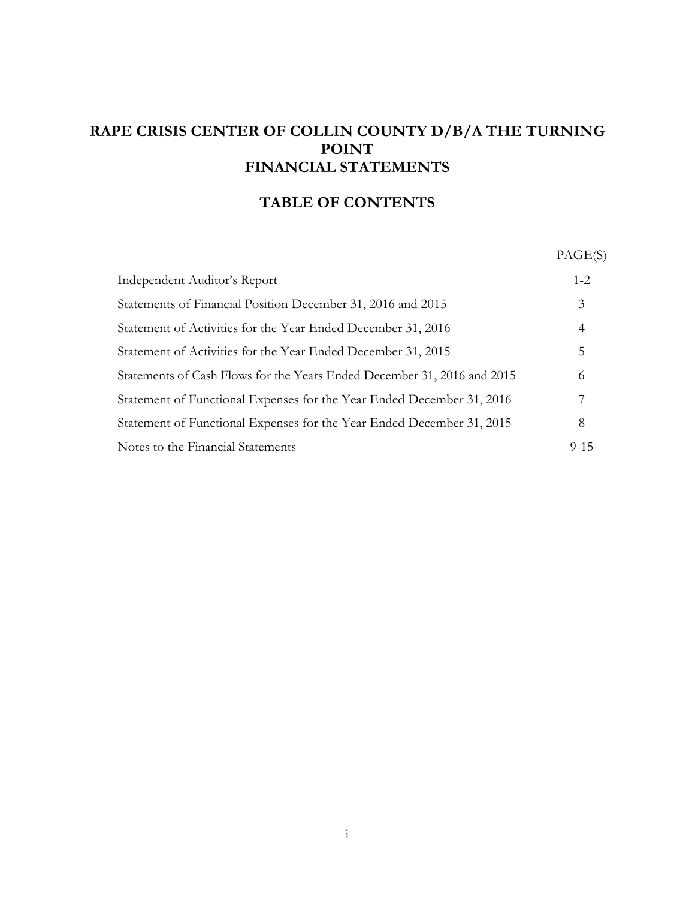# **RAPE CRISIS CENTER OF COLLIN COUNTY D/B/A THE TURNING POINT FINANCIAL STATEMENTS**

# **TABLE OF CONTENTS**

PAGE(S)

| Independent Auditor's Report                                            | $1 - 2$  |
|-------------------------------------------------------------------------|----------|
| Statements of Financial Position December 31, 2016 and 2015             | 3        |
| Statement of Activities for the Year Ended December 31, 2016            | 4        |
| Statement of Activities for the Year Ended December 31, 2015            | 5        |
| Statements of Cash Flows for the Years Ended December 31, 2016 and 2015 | 6        |
| Statement of Functional Expenses for the Year Ended December 31, 2016   | 7        |
| Statement of Functional Expenses for the Year Ended December 31, 2015   | 8        |
| Notes to the Financial Statements                                       | $9 - 15$ |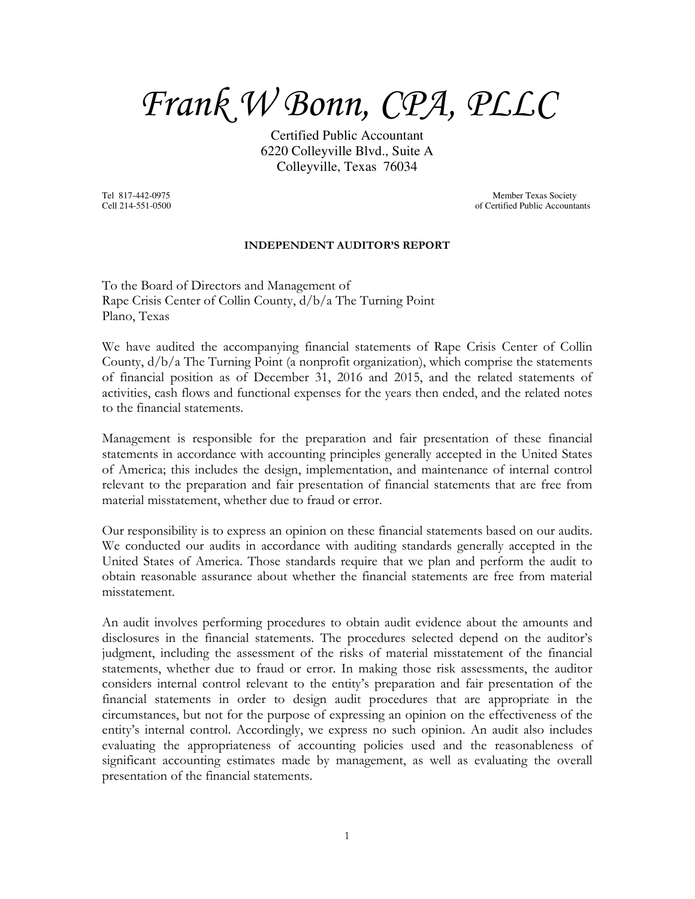*Frank W Bonn, CPA, PLLC*

Certified Public Accountant 6220 Colleyville Blvd., Suite A Colleyville, Texas 76034

Tel 817-442-0975 Member Texas Society<br>
Cell 214-551-0500 of Certified Public Account of Certified Public Accountants

#### **INDEPENDENT AUDITOR'S REPORT**

To the Board of Directors and Management of Rape Crisis Center of Collin County, d/b/a The Turning Point Plano, Texas

We have audited the accompanying financial statements of Rape Crisis Center of Collin County, d/b/a The Turning Point (a nonprofit organization), which comprise the statements of financial position as of December 31, 2016 and 2015, and the related statements of activities, cash flows and functional expenses for the years then ended, and the related notes to the financial statements.

Management is responsible for the preparation and fair presentation of these financial statements in accordance with accounting principles generally accepted in the United States of America; this includes the design, implementation, and maintenance of internal control relevant to the preparation and fair presentation of financial statements that are free from material misstatement, whether due to fraud or error.

Our responsibility is to express an opinion on these financial statements based on our audits. We conducted our audits in accordance with auditing standards generally accepted in the United States of America. Those standards require that we plan and perform the audit to obtain reasonable assurance about whether the financial statements are free from material misstatement.

An audit involves performing procedures to obtain audit evidence about the amounts and disclosures in the financial statements. The procedures selected depend on the auditor's judgment, including the assessment of the risks of material misstatement of the financial statements, whether due to fraud or error. In making those risk assessments, the auditor considers internal control relevant to the entity's preparation and fair presentation of the financial statements in order to design audit procedures that are appropriate in the circumstances, but not for the purpose of expressing an opinion on the effectiveness of the entity's internal control. Accordingly, we express no such opinion. An audit also includes evaluating the appropriateness of accounting policies used and the reasonableness of significant accounting estimates made by management, as well as evaluating the overall presentation of the financial statements.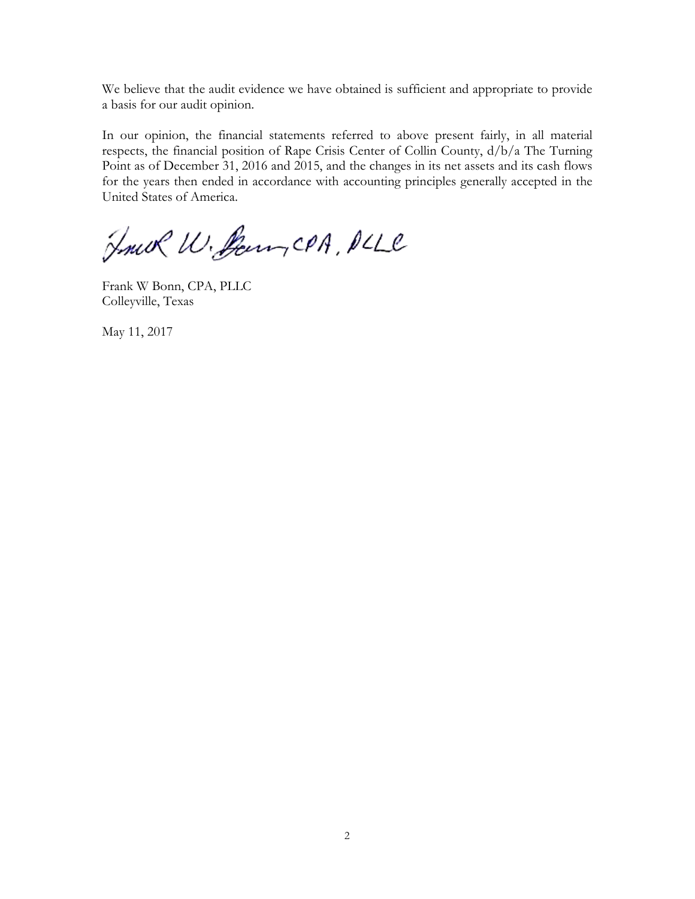We believe that the audit evidence we have obtained is sufficient and appropriate to provide a basis for our audit opinion.

In our opinion, the financial statements referred to above present fairly, in all material respects, the financial position of Rape Crisis Center of Collin County, d/b/a The Turning Point as of December 31, 2016 and 2015, and the changes in its net assets and its cash flows for the years then ended in accordance with accounting principles generally accepted in the United States of America.

Fruk W. Sounder PLLC

Frank W Bonn, CPA, PLLC Colleyville, Texas

May 11, 2017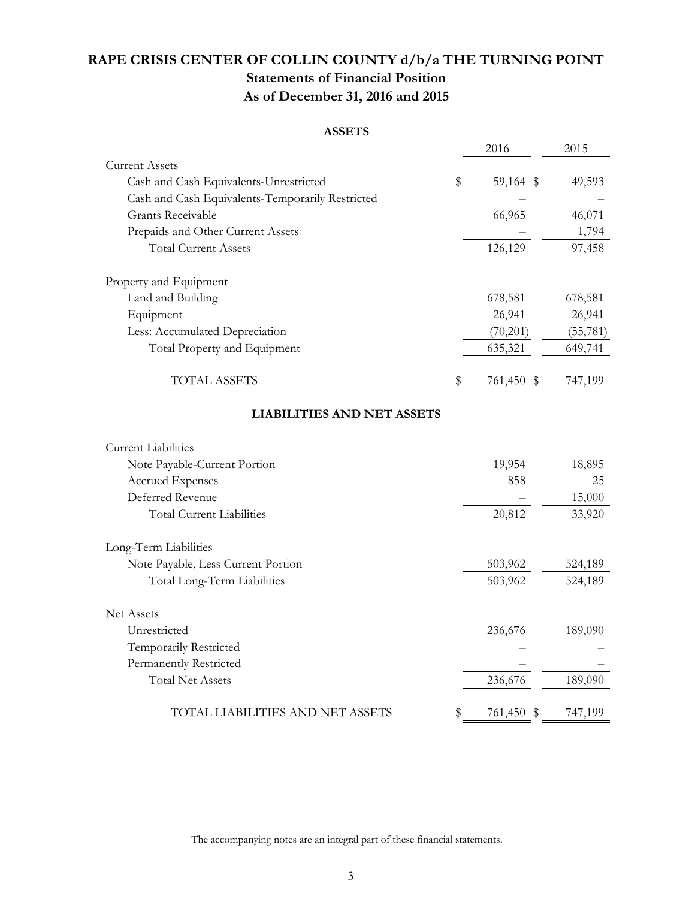# **RAPE CRISIS CENTER OF COLLIN COUNTY d/b/a THE TURNING POINT Statements of Financial Position As of December 31, 2016 and 2015**

#### **ASSETS**

|                                                  | 2016             | 2015      |
|--------------------------------------------------|------------------|-----------|
| <b>Current Assets</b>                            |                  |           |
| Cash and Cash Equivalents-Unrestricted           | \$<br>59,164 \$  | 49,593    |
| Cash and Cash Equivalents-Temporarily Restricted |                  |           |
| <b>Grants Receivable</b>                         | 66,965           | 46,071    |
| Prepaids and Other Current Assets                |                  | 1,794     |
| <b>Total Current Assets</b>                      | 126,129          | 97,458    |
| Property and Equipment                           |                  |           |
| Land and Building                                | 678,581          | 678,581   |
| Equipment                                        | 26,941           | 26,941    |
| Less: Accumulated Depreciation                   | (70,201)         | (55, 781) |
| Total Property and Equipment                     | 635,321          | 649,741   |
| <b>TOTAL ASSETS</b>                              | \$<br>761,450 \$ | 747,199   |
| <b>LIABILITIES AND NET ASSETS</b>                |                  |           |
| <b>Current Liabilities</b>                       |                  |           |
| Note Payable-Current Portion                     | 19,954           | 18,895    |
| Accrued Expenses                                 | 858              | 25        |
| Deferred Revenue                                 |                  | 15,000    |
| <b>Total Current Liabilities</b>                 | 20,812           | 33,920    |
| Long-Term Liabilities                            |                  |           |
| Note Payable, Less Current Portion               | 503,962          | 524,189   |
| Total Long-Term Liabilities                      | 503,962          | 524,189   |
| <b>Net Assets</b>                                |                  |           |
| Unrestricted                                     | 236,676          | 189,090   |
| Temporarily Restricted                           |                  |           |
| Permanently Restricted                           |                  |           |
| <b>Total Net Assets</b>                          | 236,676          | 189,090   |
| TOTAL LIABILITIES AND NET ASSETS                 | \$<br>761,450 \$ | 747,199   |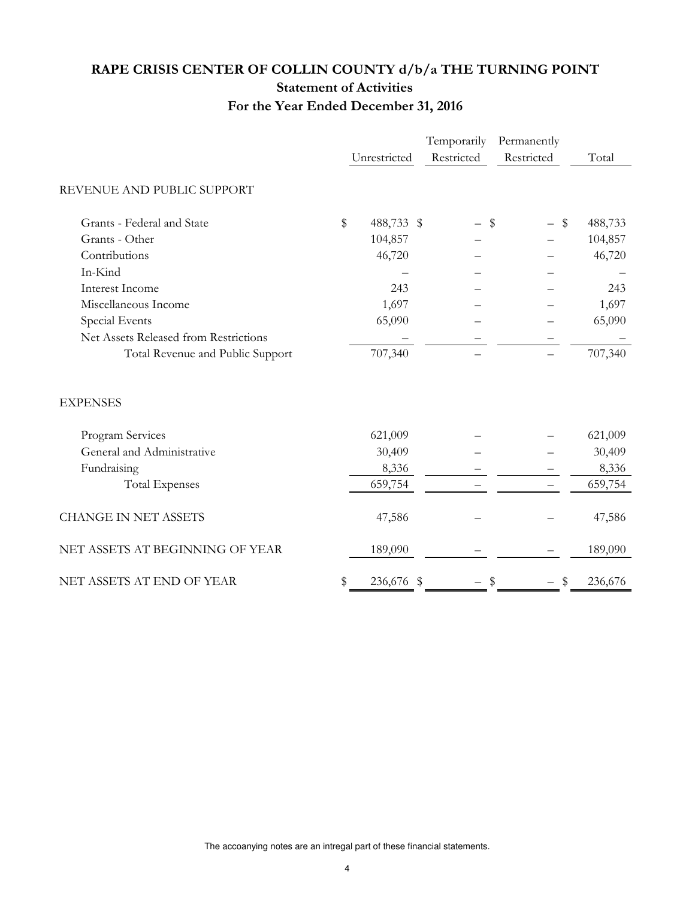# **RAPE CRISIS CENTER OF COLLIN COUNTY d/b/a THE TURNING POINT Statement of Activities For the Year Ended December 31, 2016**

|                                       |        |              | Temporarily | Permanently |               |
|---------------------------------------|--------|--------------|-------------|-------------|---------------|
|                                       |        | Unrestricted | Restricted  | Restricted  | Total         |
| REVENUE AND PUBLIC SUPPORT            |        |              |             |             |               |
| Grants - Federal and State            | $\$\,$ | 488,733 \$   |             | \$          | \$<br>488,733 |
| Grants - Other                        |        | 104,857      |             |             | 104,857       |
| Contributions                         |        | 46,720       |             |             | 46,720        |
| In-Kind                               |        |              |             |             |               |
| Interest Income                       |        | 243          |             |             | 243           |
| Miscellaneous Income                  |        | 1,697        |             |             | 1,697         |
| Special Events                        |        | 65,090       |             |             | 65,090        |
| Net Assets Released from Restrictions |        |              |             |             |               |
| Total Revenue and Public Support      |        | 707,340      |             |             | 707,340       |
| <b>EXPENSES</b>                       |        |              |             |             |               |
| Program Services                      |        | 621,009      |             |             | 621,009       |
| General and Administrative            |        | 30,409       |             |             | 30,409        |
| Fundraising                           |        | 8,336        |             |             | 8,336         |
| <b>Total Expenses</b>                 |        | 659,754      |             |             | 659,754       |
| <b>CHANGE IN NET ASSETS</b>           |        | 47,586       |             |             | 47,586        |
| NET ASSETS AT BEGINNING OF YEAR       |        | 189,090      |             |             | 189,090       |
| NET ASSETS AT END OF YEAR             |        | 236,676      | - \$        | \$          | \$<br>236,676 |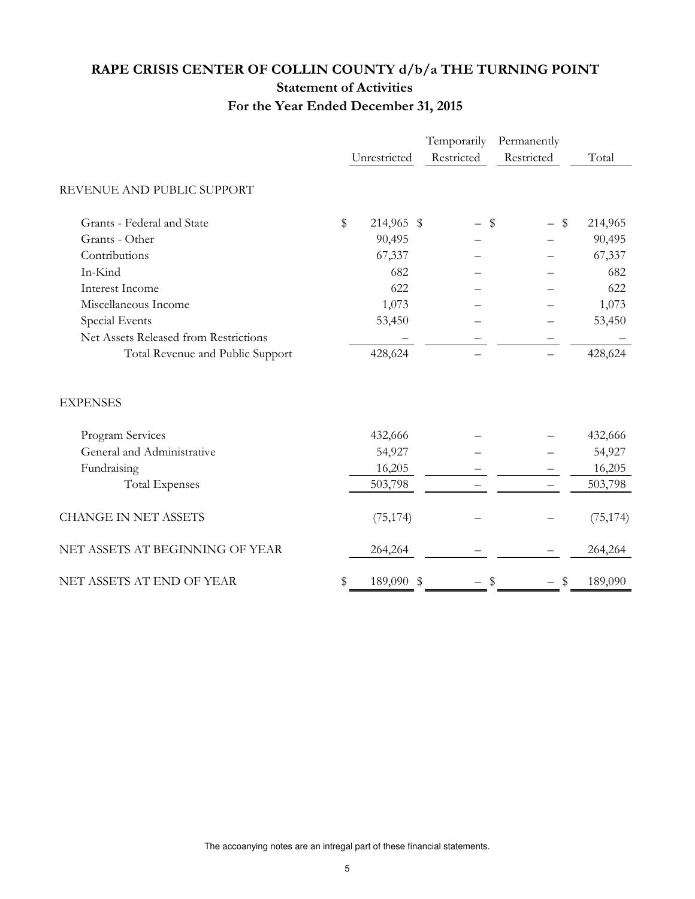# **RAPE CRISIS CENTER OF COLLIN COUNTY d/b/a THE TURNING POINT Statement of Activities For the Year Ended December 31, 2015**

|                                       |        |              | Temporarily | Permanently                     |           |
|---------------------------------------|--------|--------------|-------------|---------------------------------|-----------|
|                                       |        | Unrestricted | Restricted  | Restricted                      | Total     |
| REVENUE AND PUBLIC SUPPORT            |        |              |             |                                 |           |
| Grants - Federal and State            | $\$\,$ | 214,965 \$   |             | \$<br>\$                        | 214,965   |
| Grants - Other                        |        | 90,495       |             |                                 | 90,495    |
| Contributions                         |        | 67,337       |             |                                 | 67,337    |
| In-Kind                               |        | 682          |             |                                 | 682       |
| Interest Income                       |        | 622          |             |                                 | 622       |
| Miscellaneous Income                  |        | 1,073        |             |                                 | 1,073     |
| Special Events                        |        | 53,450       |             |                                 | 53,450    |
| Net Assets Released from Restrictions |        |              |             |                                 |           |
| Total Revenue and Public Support      |        | 428,624      |             |                                 | 428,624   |
| <b>EXPENSES</b>                       |        |              |             |                                 |           |
| Program Services                      |        | 432,666      |             |                                 | 432,666   |
| General and Administrative            |        | 54,927       |             |                                 | 54,927    |
| Fundraising                           |        | 16,205       |             |                                 | 16,205    |
| <b>Total Expenses</b>                 |        | 503,798      |             |                                 | 503,798   |
| <b>CHANGE IN NET ASSETS</b>           |        | (75, 174)    |             |                                 | (75, 174) |
| NET ASSETS AT BEGINNING OF YEAR       |        | 264,264      |             |                                 | 264,264   |
| NET ASSETS AT END OF YEAR             |        | 189,090 \$   |             | $\boldsymbol{\mathsf{s}}$<br>\$ | 189,090   |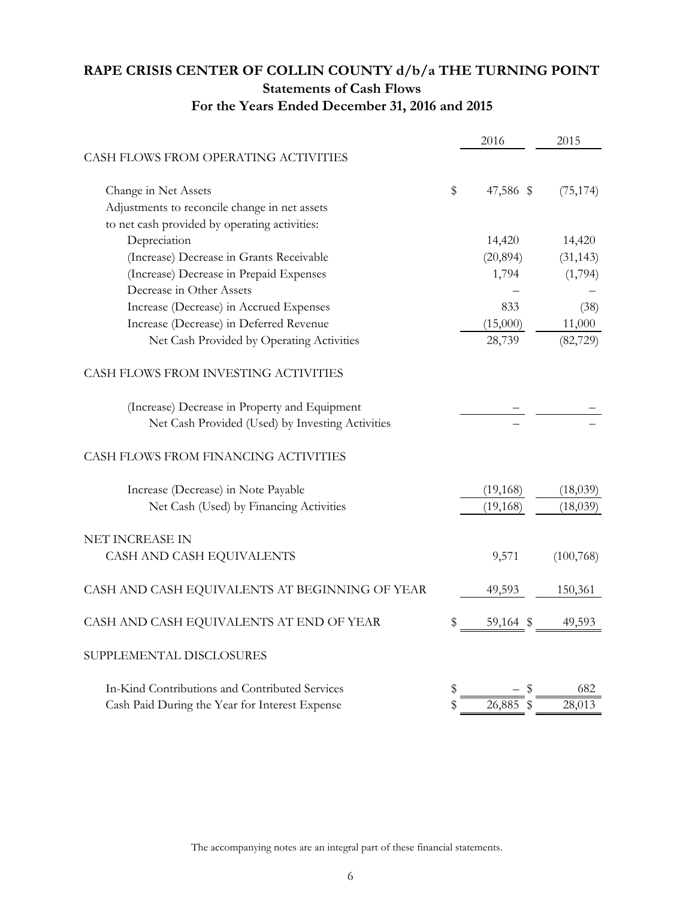## **RAPE CRISIS CENTER OF COLLIN COUNTY d/b/a THE TURNING POINT Statements of Cash Flows For the Years Ended December 31, 2016 and 2015**

|                                                  | 2016            | 2015       |
|--------------------------------------------------|-----------------|------------|
| CASH FLOWS FROM OPERATING ACTIVITIES             |                 |            |
| Change in Net Assets                             | \$<br>47,586 \$ | (75, 174)  |
| Adjustments to reconcile change in net assets    |                 |            |
| to net cash provided by operating activities:    |                 |            |
| Depreciation                                     | 14,420          | 14,420     |
| (Increase) Decrease in Grants Receivable         | (20, 894)       | (31, 143)  |
| (Increase) Decrease in Prepaid Expenses          | 1,794           | (1,794)    |
| Decrease in Other Assets                         |                 |            |
| Increase (Decrease) in Accrued Expenses          | 833             | (38)       |
| Increase (Decrease) in Deferred Revenue          | (15,000)        | 11,000     |
| Net Cash Provided by Operating Activities        | 28,739          | (82, 729)  |
| CASH FLOWS FROM INVESTING ACTIVITIES             |                 |            |
| (Increase) Decrease in Property and Equipment    |                 |            |
| Net Cash Provided (Used) by Investing Activities |                 |            |
| CASH FLOWS FROM FINANCING ACTIVITIES             |                 |            |
| Increase (Decrease) in Note Payable              | (19, 168)       | (18,039)   |
| Net Cash (Used) by Financing Activities          | (19, 168)       | (18,039)   |
| NET INCREASE IN                                  |                 |            |
| CASH AND CASH EQUIVALENTS                        | 9,571           | (100, 768) |
| CASH AND CASH EQUIVALENTS AT BEGINNING OF YEAR   | 49,593          | 150,361    |
| CASH AND CASH EQUIVALENTS AT END OF YEAR         | \$<br>59,164 \$ | 49,593     |
| SUPPLEMENTAL DISCLOSURES                         |                 |            |
| In-Kind Contributions and Contributed Services   | \$              | 682        |
| Cash Paid During the Year for Interest Expense   | \$<br>26,885    | 28,013     |
|                                                  |                 |            |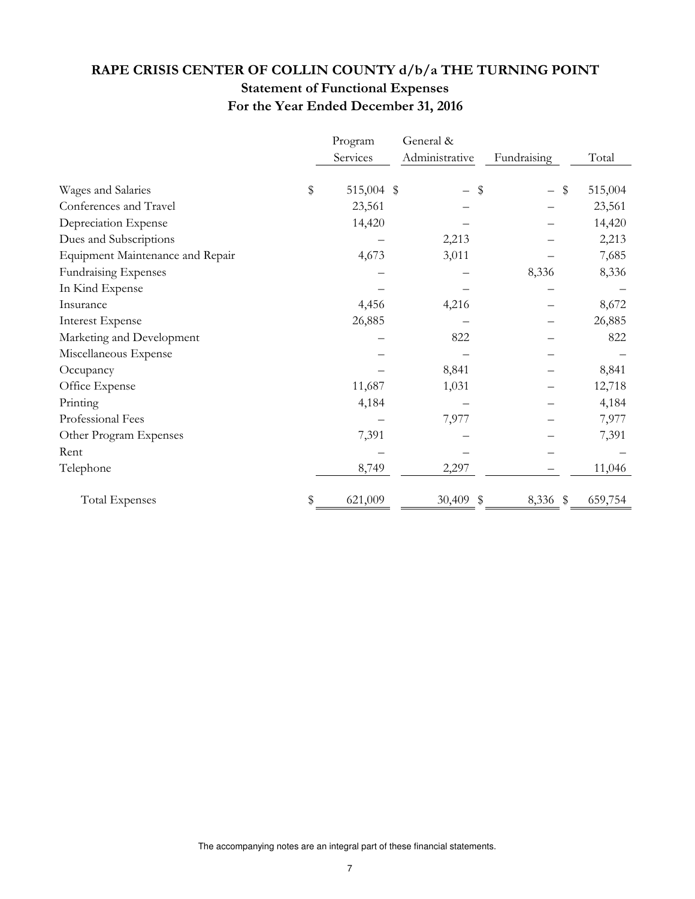# **RAPE CRISIS CENTER OF COLLIN COUNTY d/b/a THE TURNING POINT Statement of Functional Expenses For the Year Ended December 31, 2016**

|                                  |    | Program    | General &      |                |               |
|----------------------------------|----|------------|----------------|----------------|---------------|
|                                  |    | Services   | Administrative | Fundraising    | Total         |
| Wages and Salaries               | \$ | 515,004 \$ | $\equiv$       | \$             | \$<br>515,004 |
| Conferences and Travel           |    | 23,561     |                |                | 23,561        |
| Depreciation Expense             |    | 14,420     |                |                | 14,420        |
| Dues and Subscriptions           |    |            | 2,213          |                | 2,213         |
| Equipment Maintenance and Repair |    | 4,673      | 3,011          |                | 7,685         |
| Fundraising Expenses             |    |            |                | 8,336          | 8,336         |
| In Kind Expense                  |    |            |                |                |               |
| Insurance                        |    | 4,456      | 4,216          |                | 8,672         |
| <b>Interest Expense</b>          |    | 26,885     |                |                | 26,885        |
| Marketing and Development        |    |            | 822            |                | 822           |
| Miscellaneous Expense            |    |            |                |                |               |
| Occupancy                        |    |            | 8,841          |                | 8,841         |
| Office Expense                   |    | 11,687     | 1,031          |                | 12,718        |
| Printing                         |    | 4,184      |                |                | 4,184         |
| Professional Fees                |    |            | 7,977          |                | 7,977         |
| Other Program Expenses           |    | 7,391      |                |                | 7,391         |
| Rent                             |    |            |                |                |               |
| Telephone                        |    | 8,749      | 2,297          |                | 11,046        |
| <b>Total Expenses</b>            | S  | 621,009    | 30,409         | \$<br>8,336 \$ | 659,754       |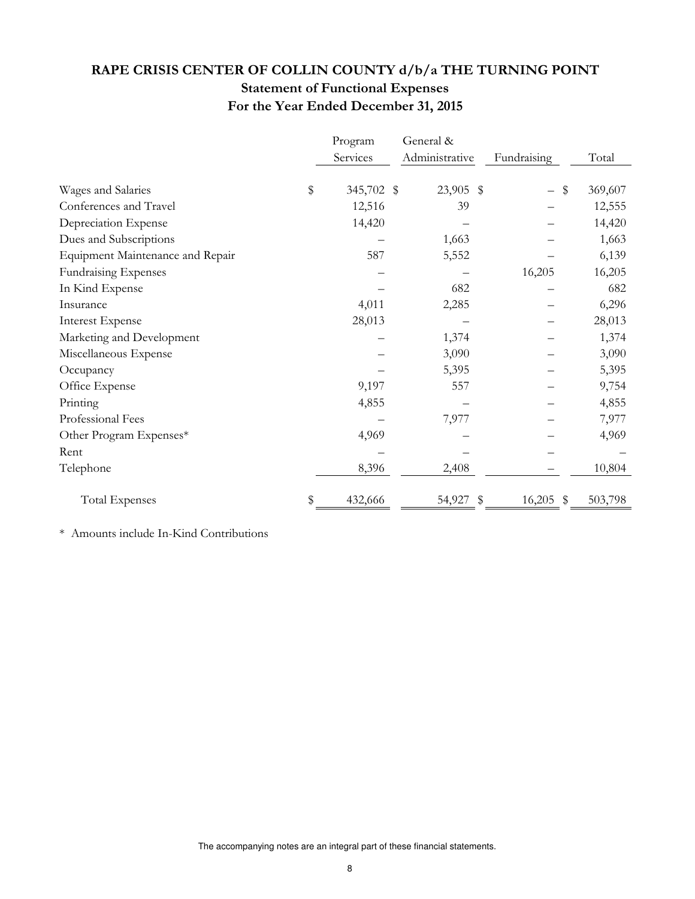# **RAPE CRISIS CENTER OF COLLIN COUNTY d/b/a THE TURNING POINT Statement of Functional Expenses For the Year Ended December 31, 2015**

|                                  |    | Program    | General &      |              |               |
|----------------------------------|----|------------|----------------|--------------|---------------|
|                                  |    | Services   | Administrative | Fundraising  | Total         |
| Wages and Salaries               | \$ | 345,702 \$ | 23,905 \$      |              | \$<br>369,607 |
| Conferences and Travel           |    | 12,516     | 39             |              | 12,555        |
| Depreciation Expense             |    | 14,420     |                |              | 14,420        |
| Dues and Subscriptions           |    |            | 1,663          |              | 1,663         |
| Equipment Maintenance and Repair |    | 587        | 5,552          |              | 6,139         |
| <b>Fundraising Expenses</b>      |    |            |                | 16,205       | 16,205        |
| In Kind Expense                  |    |            | 682            |              | 682           |
| Insurance                        |    | 4,011      | 2,285          |              | 6,296         |
| <b>Interest Expense</b>          |    | 28,013     |                |              | 28,013        |
| Marketing and Development        |    |            | 1,374          |              | 1,374         |
| Miscellaneous Expense            |    |            | 3,090          |              | 3,090         |
| Occupancy                        |    |            | 5,395          |              | 5,395         |
| Office Expense                   |    | 9,197      | 557            |              | 9,754         |
| Printing                         |    | 4,855      |                |              | 4,855         |
| Professional Fees                |    |            | 7,977          |              | 7,977         |
| Other Program Expenses*          |    | 4,969      |                |              | 4,969         |
| Rent                             |    |            |                |              |               |
| Telephone                        |    | 8,396      | 2,408          |              | 10,804        |
| <b>Total Expenses</b>            | S  | 432,666    | 54,927         | \$<br>16,205 | \$<br>503,798 |

\* Amounts include In-Kind Contributions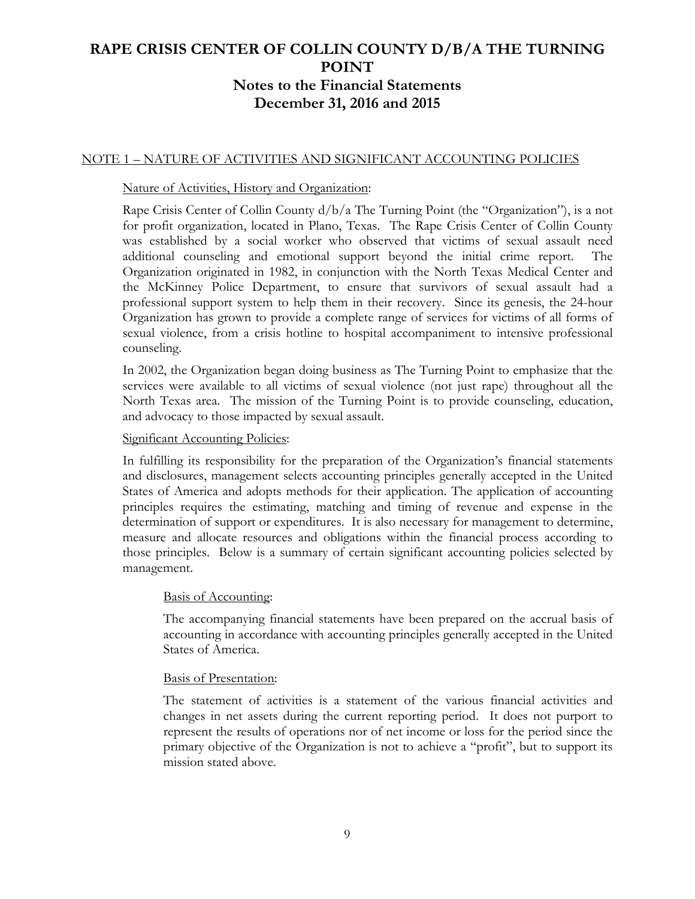## NOTE 1 – NATURE OF ACTIVITIES AND SIGNIFICANT ACCOUNTING POLICIES

### Nature of Activities, History and Organization:

Rape Crisis Center of Collin County d/b/a The Turning Point (the "Organization"), is a not for profit organization, located in Plano, Texas. The Rape Crisis Center of Collin County was established by a social worker who observed that victims of sexual assault need additional counseling and emotional support beyond the initial crime report. The Organization originated in 1982, in conjunction with the North Texas Medical Center and the McKinney Police Department, to ensure that survivors of sexual assault had a professional support system to help them in their recovery. Since its genesis, the 24-hour Organization has grown to provide a complete range of services for victims of all forms of sexual violence, from a crisis hotline to hospital accompaniment to intensive professional counseling.

In 2002, the Organization began doing business as The Turning Point to emphasize that the services were available to all victims of sexual violence (not just rape) throughout all the North Texas area. The mission of the Turning Point is to provide counseling, education, and advocacy to those impacted by sexual assault.

#### Significant Accounting Policies:

In fulfilling its responsibility for the preparation of the Organization's financial statements and disclosures, management selects accounting principles generally accepted in the United States of America and adopts methods for their application. The application of accounting principles requires the estimating, matching and timing of revenue and expense in the determination of support or expenditures. It is also necessary for management to determine, measure and allocate resources and obligations within the financial process according to those principles. Below is a summary of certain significant accounting policies selected by management.

#### Basis of Accounting:

The accompanying financial statements have been prepared on the accrual basis of accounting in accordance with accounting principles generally accepted in the United States of America.

#### Basis of Presentation:

The statement of activities is a statement of the various financial activities and changes in net assets during the current reporting period. It does not purport to represent the results of operations nor of net income or loss for the period since the primary objective of the Organization is not to achieve a "profit", but to support its mission stated above.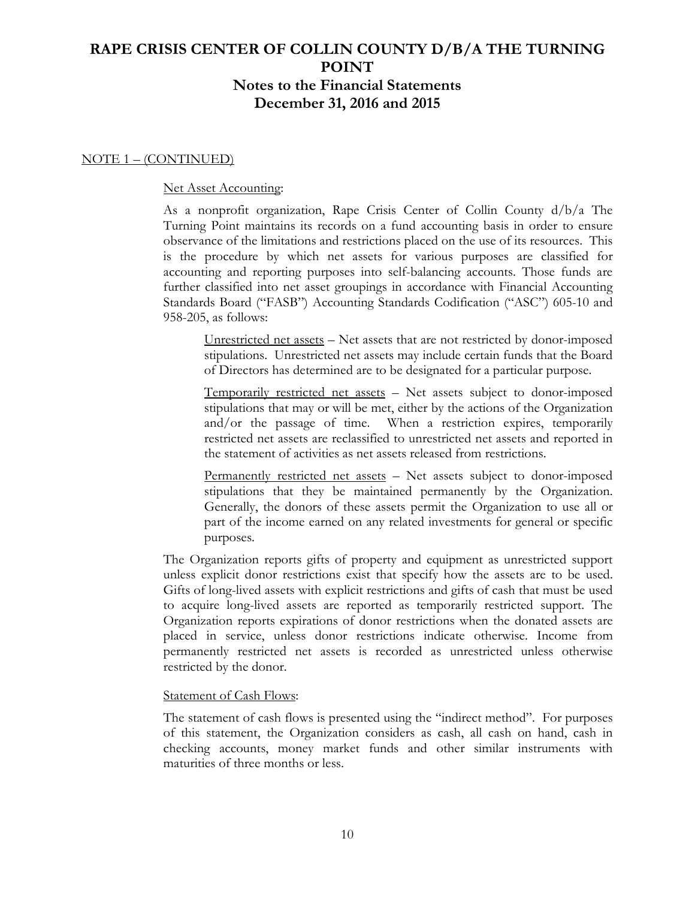### NOTE 1 – (CONTINUED)

#### Net Asset Accounting:

As a nonprofit organization, Rape Crisis Center of Collin County d/b/a The Turning Point maintains its records on a fund accounting basis in order to ensure observance of the limitations and restrictions placed on the use of its resources. This is the procedure by which net assets for various purposes are classified for accounting and reporting purposes into self-balancing accounts. Those funds are further classified into net asset groupings in accordance with Financial Accounting Standards Board ("FASB") Accounting Standards Codification ("ASC") 605-10 and 958-205, as follows:

Unrestricted net assets – Net assets that are not restricted by donor-imposed stipulations. Unrestricted net assets may include certain funds that the Board of Directors has determined are to be designated for a particular purpose.

Temporarily restricted net assets – Net assets subject to donor-imposed stipulations that may or will be met, either by the actions of the Organization and/or the passage of time. When a restriction expires, temporarily restricted net assets are reclassified to unrestricted net assets and reported in the statement of activities as net assets released from restrictions.

Permanently restricted net assets – Net assets subject to donor-imposed stipulations that they be maintained permanently by the Organization. Generally, the donors of these assets permit the Organization to use all or part of the income earned on any related investments for general or specific purposes.

The Organization reports gifts of property and equipment as unrestricted support unless explicit donor restrictions exist that specify how the assets are to be used. Gifts of long-lived assets with explicit restrictions and gifts of cash that must be used to acquire long-lived assets are reported as temporarily restricted support. The Organization reports expirations of donor restrictions when the donated assets are placed in service, unless donor restrictions indicate otherwise. Income from permanently restricted net assets is recorded as unrestricted unless otherwise restricted by the donor.

#### Statement of Cash Flows:

The statement of cash flows is presented using the "indirect method". For purposes of this statement, the Organization considers as cash, all cash on hand, cash in checking accounts, money market funds and other similar instruments with maturities of three months or less.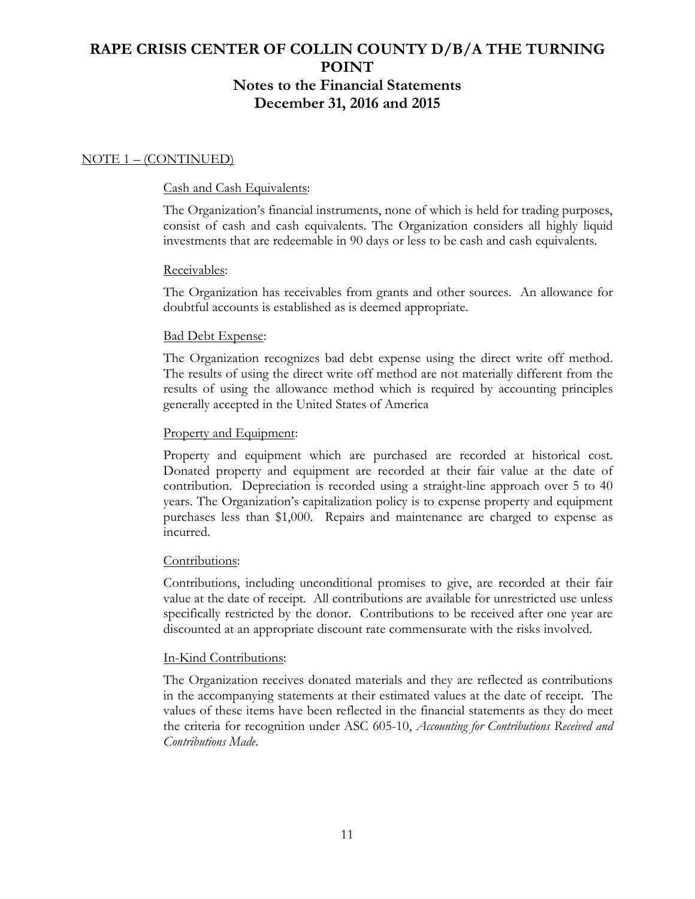## NOTE 1 – (CONTINUED)

### Cash and Cash Equivalents:

The Organization's financial instruments, none of which is held for trading purposes, consist of cash and cash equivalents. The Organization considers all highly liquid investments that are redeemable in 90 days or less to be cash and cash equivalents.

## Receivables:

The Organization has receivables from grants and other sources. An allowance for doubtful accounts is established as is deemed appropriate.

### Bad Debt Expense:

The Organization recognizes bad debt expense using the direct write off method. The results of using the direct write off method are not materially different from the results of using the allowance method which is required by accounting principles generally accepted in the United States of America

### Property and Equipment:

Property and equipment which are purchased are recorded at historical cost. Donated property and equipment are recorded at their fair value at the date of contribution. Depreciation is recorded using a straight-line approach over 5 to 40 years. The Organization's capitalization policy is to expense property and equipment purchases less than \$1,000. Repairs and maintenance are charged to expense as incurred.

## Contributions:

Contributions, including unconditional promises to give, are recorded at their fair value at the date of receipt. All contributions are available for unrestricted use unless specifically restricted by the donor. Contributions to be received after one year are discounted at an appropriate discount rate commensurate with the risks involved.

## In-Kind Contributions:

The Organization receives donated materials and they are reflected as contributions in the accompanying statements at their estimated values at the date of receipt. The values of these items have been reflected in the financial statements as they do meet the criteria for recognition under ASC 605-10, *Accounting for Contributions Received and Contributions Made*.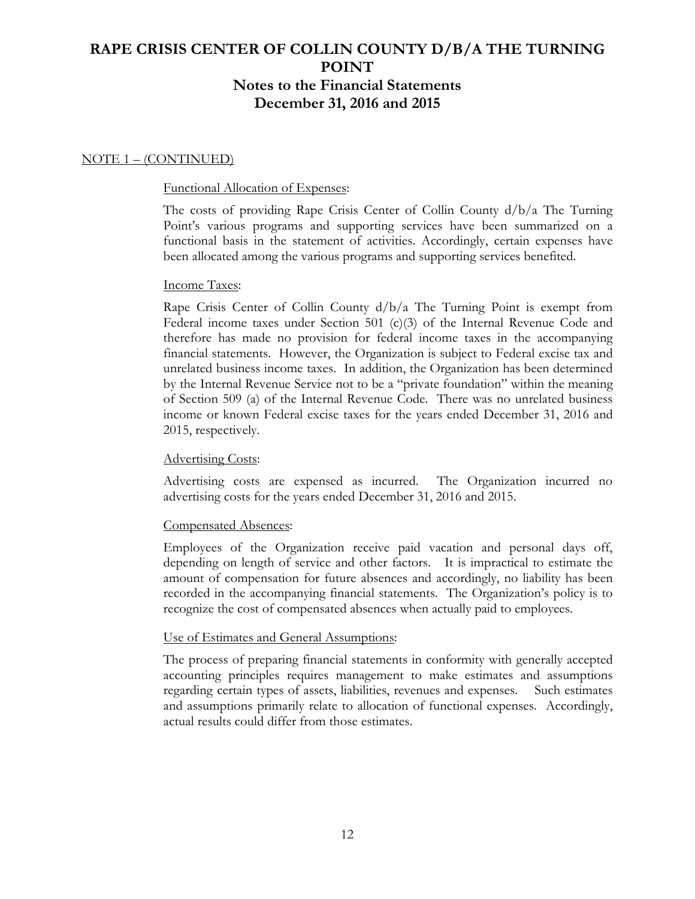### NOTE 1 – (CONTINUED)

#### Functional Allocation of Expenses:

The costs of providing Rape Crisis Center of Collin County d/b/a The Turning Point's various programs and supporting services have been summarized on a functional basis in the statement of activities. Accordingly, certain expenses have been allocated among the various programs and supporting services benefited.

#### Income Taxes:

Rape Crisis Center of Collin County d/b/a The Turning Point is exempt from Federal income taxes under Section 501 (c)(3) of the Internal Revenue Code and therefore has made no provision for federal income taxes in the accompanying financial statements. However, the Organization is subject to Federal excise tax and unrelated business income taxes. In addition, the Organization has been determined by the Internal Revenue Service not to be a "private foundation" within the meaning of Section 509 (a) of the Internal Revenue Code. There was no unrelated business income or known Federal excise taxes for the years ended December 31, 2016 and 2015, respectively.

## Advertising Costs:

Advertising costs are expensed as incurred. The Organization incurred no advertising costs for the years ended December 31, 2016 and 2015.

#### Compensated Absences:

Employees of the Organization receive paid vacation and personal days off, depending on length of service and other factors. It is impractical to estimate the amount of compensation for future absences and accordingly, no liability has been recorded in the accompanying financial statements. The Organization's policy is to recognize the cost of compensated absences when actually paid to employees.

#### Use of Estimates and General Assumptions:

The process of preparing financial statements in conformity with generally accepted accounting principles requires management to make estimates and assumptions regarding certain types of assets, liabilities, revenues and expenses. Such estimates and assumptions primarily relate to allocation of functional expenses. Accordingly, actual results could differ from those estimates.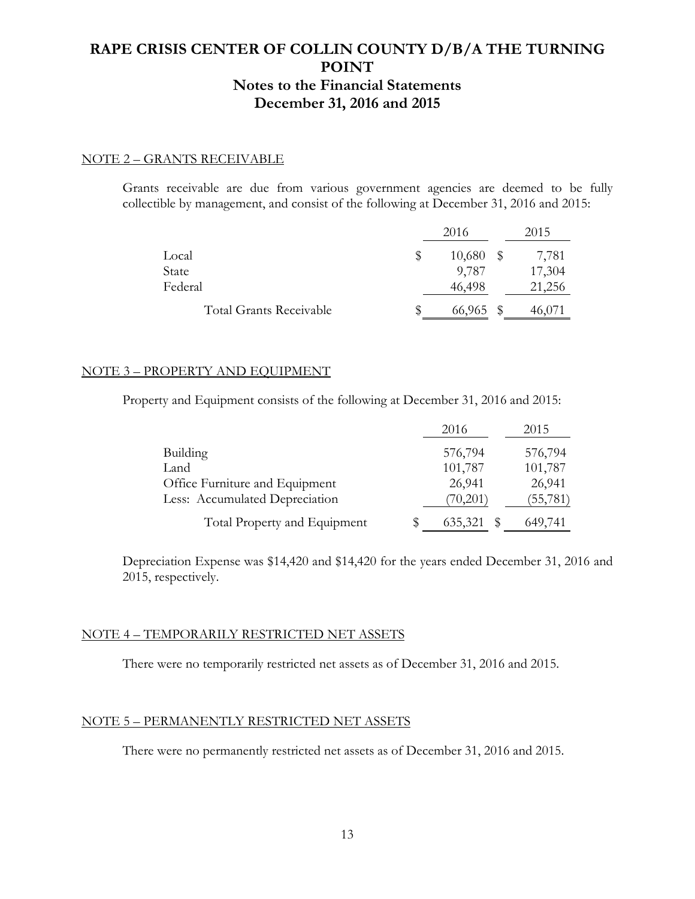### NOTE 2 – GRANTS RECEIVABLE

Grants receivable are due from various government agencies are deemed to be fully collectible by management, and consist of the following at December 31, 2016 and 2015:

|                                |    | 2016      |      | 2015   |
|--------------------------------|----|-----------|------|--------|
| Local                          | S  | 10,680    | - \$ | 7,781  |
| State                          |    | 9,787     |      | 17,304 |
| Federal                        |    | 46,498    |      | 21,256 |
| <b>Total Grants Receivable</b> | \$ | 66,965 \$ |      | 46,071 |

### NOTE 3 – PROPERTY AND EQUIPMENT

Property and Equipment consists of the following at December 31, 2016 and 2015:

|                                | 2016         | 2015      |
|--------------------------------|--------------|-----------|
| <b>Building</b>                | 576,794      | 576,794   |
| Land                           | 101,787      | 101,787   |
| Office Furniture and Equipment | 26,941       | 26,941    |
| Less: Accumulated Depreciation | (70,201)     | (55, 781) |
| Total Property and Equipment   | 635,321<br>S | 649,741   |

Depreciation Expense was \$14,420 and \$14,420 for the years ended December 31, 2016 and 2015, respectively.

#### NOTE 4 – TEMPORARILY RESTRICTED NET ASSETS

There were no temporarily restricted net assets as of December 31, 2016 and 2015.

#### NOTE 5 – PERMANENTLY RESTRICTED NET ASSETS

There were no permanently restricted net assets as of December 31, 2016 and 2015.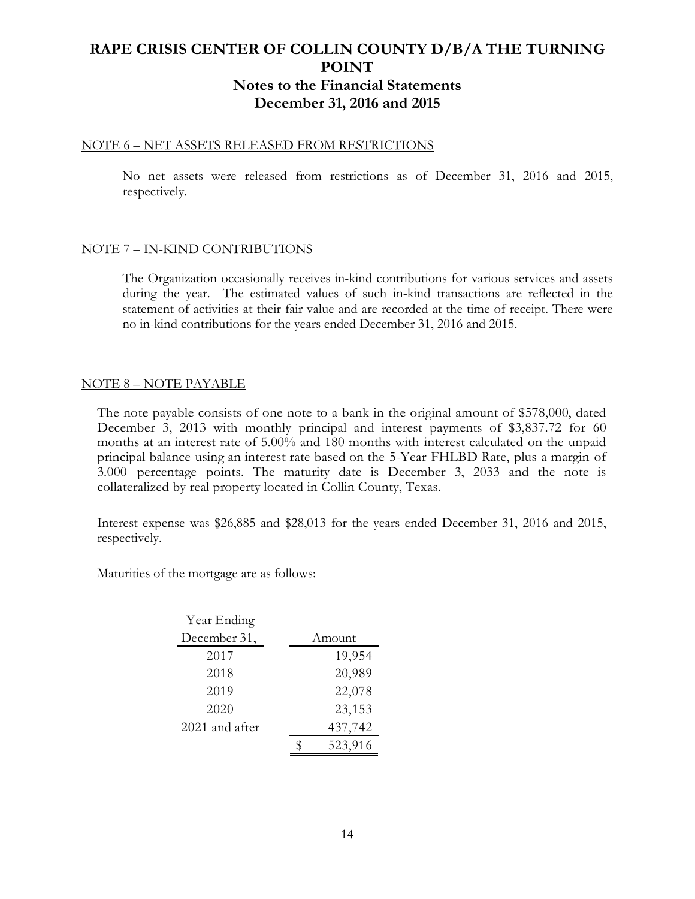#### NOTE 6 – NET ASSETS RELEASED FROM RESTRICTIONS

No net assets were released from restrictions as of December 31, 2016 and 2015, respectively.

### NOTE 7 – IN-KIND CONTRIBUTIONS

The Organization occasionally receives in-kind contributions for various services and assets during the year. The estimated values of such in-kind transactions are reflected in the statement of activities at their fair value and are recorded at the time of receipt. There were no in-kind contributions for the years ended December 31, 2016 and 2015.

## NOTE 8 – NOTE PAYABLE

The note payable consists of one note to a bank in the original amount of \$578,000, dated December 3, 2013 with monthly principal and interest payments of \$3,837.72 for 60 months at an interest rate of 5.00% and 180 months with interest calculated on the unpaid principal balance using an interest rate based on the 5-Year FHLBD Rate, plus a margin of 3.000 percentage points. The maturity date is December 3, 2033 and the note is collateralized by real property located in Collin County, Texas.

Interest expense was \$26,885 and \$28,013 for the years ended December 31, 2016 and 2015, respectively.

Maturities of the mortgage are as follows:

| Year Ending      |         |
|------------------|---------|
| December 31,     | Amount  |
| 2017             | 19,954  |
| 2018             | 20,989  |
| 2019             | 22,078  |
| 2020             | 23,153  |
| $2021$ and after | 437,742 |
|                  | 523,916 |